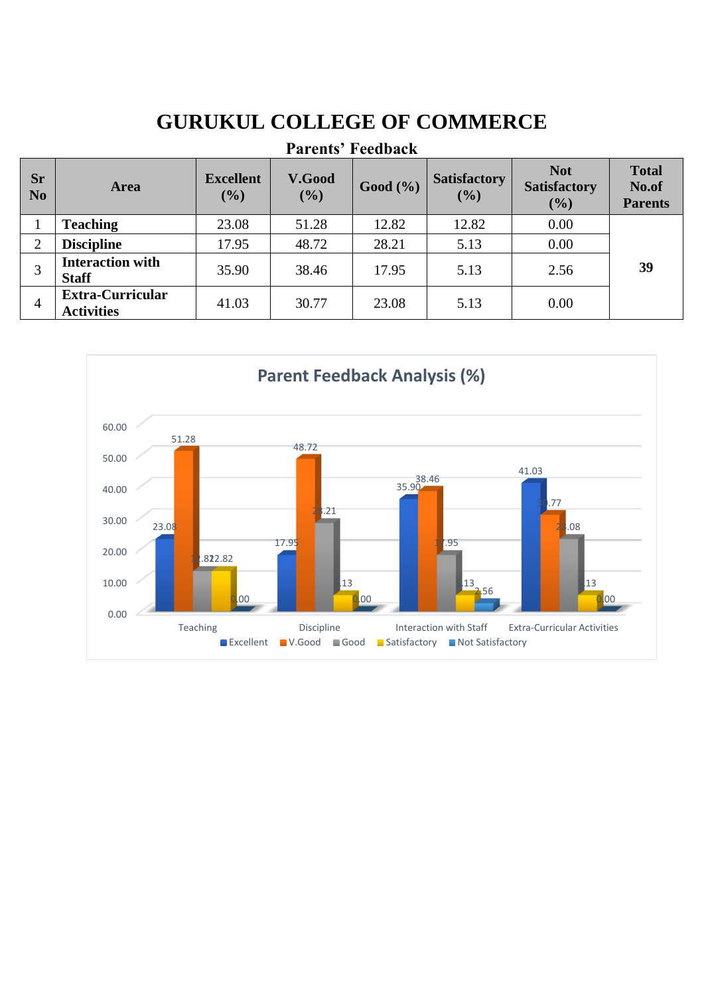# **GURUKUL COLLEGE OF COMMERCE**

| Papellis Peeudack           |                                              |                         |                      |          |                            |                                             |                                         |
|-----------------------------|----------------------------------------------|-------------------------|----------------------|----------|----------------------------|---------------------------------------------|-----------------------------------------|
| <b>Sr</b><br>N <sub>0</sub> | <b>Area</b>                                  | <b>Excellent</b><br>(%) | <b>V.Good</b><br>(%) | Good (%) | <b>Satisfactory</b><br>(%) | <b>Not</b><br><b>Satisfactory</b><br>$($ %) | <b>Total</b><br>No.of<br><b>Parents</b> |
|                             | <b>Teaching</b>                              | 23.08                   | 51.28                | 12.82    | 12.82                      | 0.00                                        |                                         |
| 2                           | <b>Discipline</b>                            | 17.95                   | 48.72                | 28.21    | 5.13                       | 0.00                                        |                                         |
|                             | <b>Interaction with</b><br><b>Staff</b>      | 35.90                   | 38.46                | 17.95    | 5.13                       | 2.56                                        | 39                                      |
| $\overline{4}$              | <b>Extra-Curricular</b><br><b>Activities</b> | 41.03                   | 30.77                | 23.08    | 5.13                       | 0.00                                        |                                         |

## **Parents' Feedback**

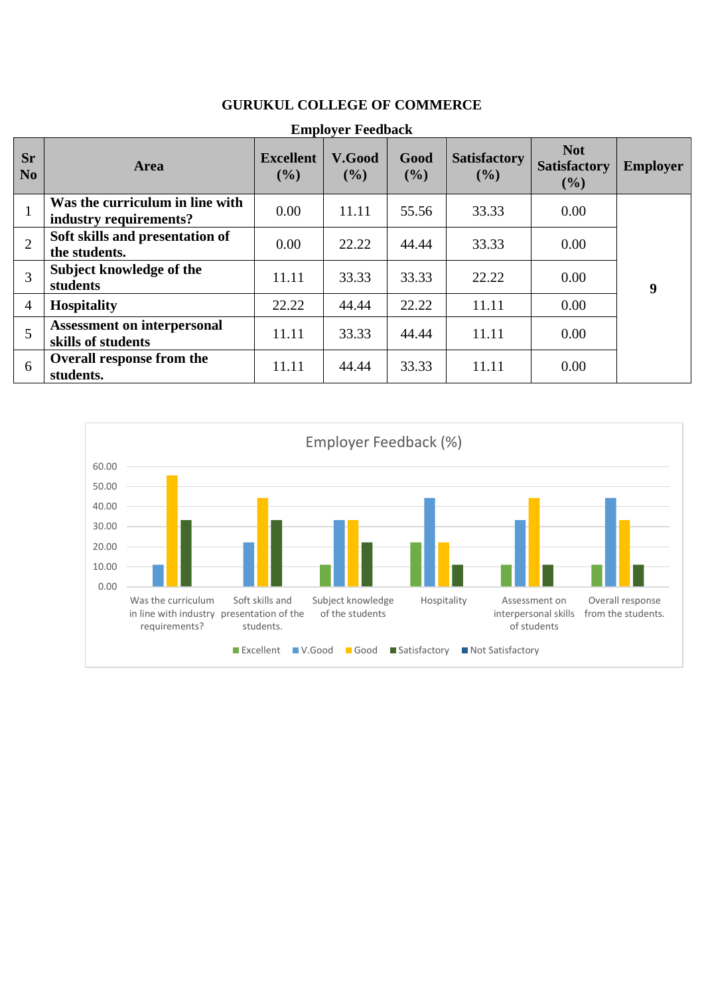| <b>Employer Feedback</b>    |                                                           |                            |                  |             |                            |                                          |                 |  |
|-----------------------------|-----------------------------------------------------------|----------------------------|------------------|-------------|----------------------------|------------------------------------------|-----------------|--|
| <b>Sr</b><br>N <sub>0</sub> | Area                                                      | <b>Excellent</b><br>$($ %) | V.Good<br>$($ %) | Good<br>(%) | <b>Satisfactory</b><br>(%) | <b>Not</b><br><b>Satisfactory</b><br>(%) | <b>Employer</b> |  |
|                             | Was the curriculum in line with<br>industry requirements? | 0.00                       | 11.11            | 55.56       | 33.33                      | 0.00                                     |                 |  |
| 2                           | Soft skills and presentation of<br>the students.          | 0.00                       | 22.22            | 44.44       | 33.33                      | 0.00                                     |                 |  |
| 3                           | Subject knowledge of the<br>students                      | 11.11                      | 33.33            | 33.33       | 22.22                      | 0.00                                     | 9               |  |
| $\overline{4}$              | <b>Hospitality</b>                                        | 22.22                      | 44.44            | 22.22       | 11.11                      | 0.00                                     |                 |  |
| 5                           | <b>Assessment on interpersonal</b><br>skills of students  | 11.11                      | 33.33            | 44.44       | 11.11                      | 0.00                                     |                 |  |
| 6                           | Overall response from the<br>students.                    | 11.11                      | 44.44            | 33.33       | 11.11                      | 0.00                                     |                 |  |

### **GURUKUL COLLEGE OF COMMERCE**